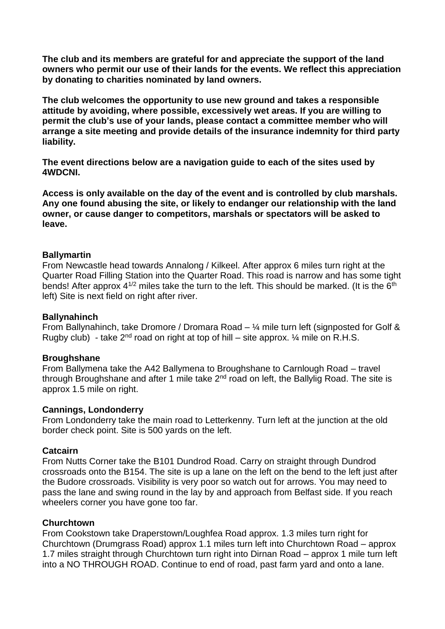**The club and its members are grateful for and appreciate the support of the land owners who permit our use of their lands for the events. We reflect this appreciation by donating to charities nominated by land owners.**

**The club welcomes the opportunity to use new ground and takes a responsible attitude by avoiding, where possible, excessively wet areas. If you are willing to permit the club's use of your lands, please contact a committee member who will arrange a site meeting and provide details of the insurance indemnity for third party liability.**

**The event directions below are a navigation guide to each of the sites used by 4WDCNI.** 

**Access is only available on the day of the event and is controlled by club marshals. Any one found abusing the site, or likely to endanger our relationship with the land owner, or cause danger to competitors, marshals or spectators will be asked to leave.**

#### **Ballymartin**

From Newcastle head towards Annalong / Kilkeel. After approx 6 miles turn right at the Quarter Road Filling Station into the Quarter Road. This road is narrow and has some tight bends! After approx  $4^{1/2}$  miles take the turn to the left. This should be marked. (It is the  $6<sup>th</sup>$ left) Site is next field on right after river.

#### **Ballynahinch**

From Ballynahinch, take Dromore / Dromara Road –  $\frac{1}{4}$  mile turn left (signposted for Golf & Rugby club) - take  $2^{nd}$  road on right at top of hill – site approx.  $\frac{1}{4}$  mile on R.H.S.

#### **Broughshane**

From Ballymena take the A42 Ballymena to Broughshane to Carnlough Road – travel through Broughshane and after 1 mile take  $2<sup>nd</sup>$  road on left, the Ballylig Road. The site is approx 1.5 mile on right.

#### **Cannings, Londonderry**

From Londonderry take the main road to Letterkenny. Turn left at the junction at the old border check point. Site is 500 yards on the left.

#### **Catcairn**

From Nutts Corner take the B101 Dundrod Road. Carry on straight through Dundrod crossroads onto the B154. The site is up a lane on the left on the bend to the left just after the Budore crossroads. Visibility is very poor so watch out for arrows. You may need to pass the lane and swing round in the lay by and approach from Belfast side. If you reach wheelers corner you have gone too far.

#### **Churchtown**

From Cookstown take Draperstown/Loughfea Road approx. 1.3 miles turn right for Churchtown (Drumgrass Road) approx 1.1 miles turn left into Churchtown Road – approx 1.7 miles straight through Churchtown turn right into Dirnan Road – approx 1 mile turn left into a NO THROUGH ROAD. Continue to end of road, past farm yard and onto a lane.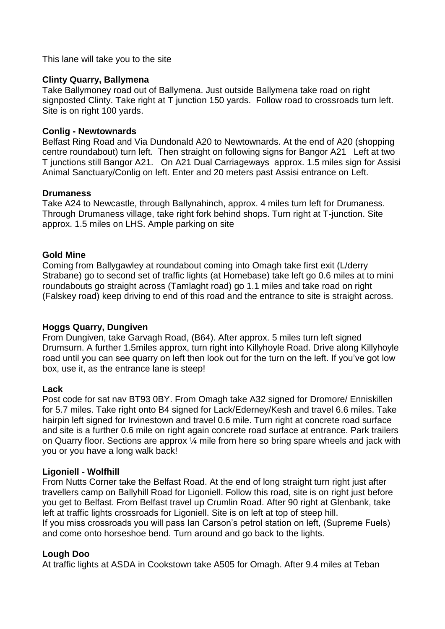This lane will take you to the site

## **Clinty Quarry, Ballymena**

Take Ballymoney road out of Ballymena. Just outside Ballymena take road on right signposted Clinty. Take right at T junction 150 yards. Follow road to crossroads turn left. Site is on right 100 yards.

## **Conlig - Newtownards**

Belfast Ring Road and Via Dundonald A20 to Newtownards. At the end of A20 (shopping centre roundabout) turn left. Then straight on following signs for Bangor A21 Left at two T junctions still Bangor A21. On A21 Dual Carriageways approx. 1.5 miles sign for Assisi Animal Sanctuary/Conlig on left. Enter and 20 meters past Assisi entrance on Left.

### **Drumaness**

Take A24 to Newcastle, through Ballynahinch, approx. 4 miles turn left for Drumaness. Through Drumaness village, take right fork behind shops. Turn right at T-junction. Site approx. 1.5 miles on LHS. Ample parking on site

# **Gold Mine**

Coming from Ballygawley at roundabout coming into Omagh take first exit (L/derry Strabane) go to second set of traffic lights (at Homebase) take left go 0.6 miles at to mini roundabouts go straight across (Tamlaght road) go 1.1 miles and take road on right (Falskey road) keep driving to end of this road and the entrance to site is straight across.

# **Hoggs Quarry, Dungiven**

From Dungiven, take Garvagh Road, (B64). After approx. 5 miles turn left signed Drumsurn. A further 1.5miles approx, turn right into Killyhoyle Road. Drive along Killyhoyle road until you can see quarry on left then look out for the turn on the left. If you've got low box, use it, as the entrance lane is steep!

#### **Lack**

Post code for sat nav BT93 0BY. From Omagh take A32 signed for Dromore/ Enniskillen for 5.7 miles. Take right onto B4 signed for Lack/Ederney/Kesh and travel 6.6 miles. Take hairpin left signed for Irvinestown and travel 0.6 mile. Turn right at concrete road surface and site is a further 0.6 mile on right again concrete road surface at entrance. Park trailers on Quarry floor. Sections are approx ¼ mile from here so bring spare wheels and jack with you or you have a long walk back!

#### **Ligoniell - Wolfhill**

From Nutts Corner take the Belfast Road. At the end of long straight turn right just after travellers camp on Ballyhill Road for Ligoniell. Follow this road, site is on right just before you get to Belfast. From Belfast travel up Crumlin Road. After 90 right at Glenbank, take left at traffic lights crossroads for Ligoniell. Site is on left at top of steep hill. If you miss crossroads you will pass Ian Carson's petrol station on left, (Supreme Fuels) and come onto horseshoe bend. Turn around and go back to the lights.

#### **Lough Doo**

At traffic lights at ASDA in Cookstown take A505 for Omagh. After 9.4 miles at Teban